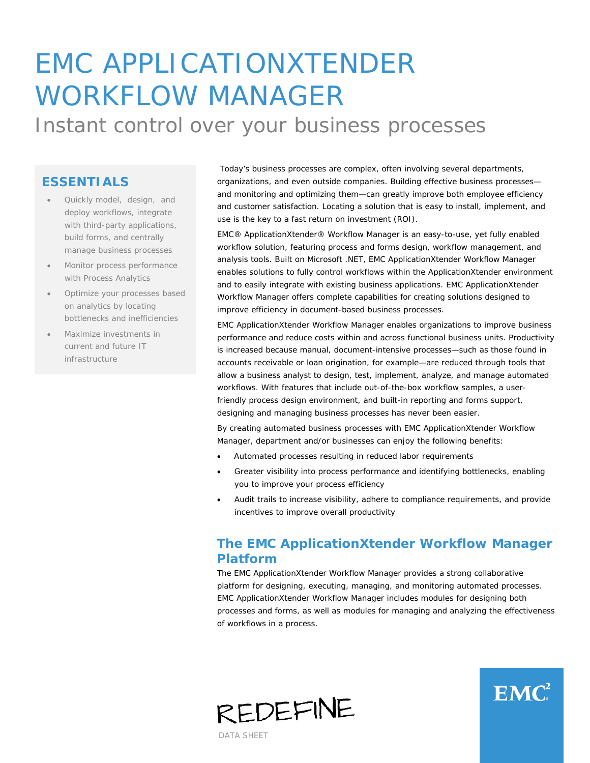# EMC APPLICATIONXTENDER WORKFLOW MANAGER Instant control over your business processes

### **ESSENTIALS**

- Quickly model, design, and deploy workflows, integrate with third-party applications, build forms, and centrally manage business processes
- Monitor process performance with Process Analytics
- Optimize your processes based on analytics by locating bottlenecks and inefficiencies
- Maximize investments in current and future IT infrastructure

Today's business processes are complex, often involving several departments, organizations, and even outside companies. Building effective business processes and monitoring and optimizing them—can greatly improve both employee efficiency and customer satisfaction. Locating a solution that is easy to install, implement, and use is the key to a fast return on investment (ROI).

EMC® ApplicationXtender® Workflow Manager is an easy-to-use, yet fully enabled workflow solution, featuring process and forms design, workflow management, and analysis tools. Built on Microsoft .NET, EMC ApplicationXtender Workflow Manager enables solutions to fully control workflows within the ApplicationXtender environment and to easily integrate with existing business applications. EMC ApplicationXtender Workflow Manager offers complete capabilities for creating solutions designed to improve efficiency in document-based business processes.

EMC ApplicationXtender Workflow Manager enables organizations to improve business performance and reduce costs within and across functional business units. Productivity is increased because manual, document-intensive processes—such as those found in accounts receivable or loan origination, for example—are reduced through tools that allow a business analyst to design, test, implement, analyze, and manage automated workflows. With features that include out-of-the-box workflow samples, a userfriendly process design environment, and built-in reporting and forms support, designing and managing business processes has never been easier.

By creating automated business processes with EMC ApplicationXtender Workflow Manager, department and/or businesses can enjoy the following benefits:

- Automated processes resulting in reduced labor requirements
- Greater visibility into process performance and identifying bottlenecks, enabling you to improve your process efficiency
- Audit trails to increase visibility, adhere to compliance requirements, and provide incentives to improve overall productivity

# **The EMC ApplicationXtender Workflow Manager Platform**

The EMC ApplicationXtender Workflow Manager provides a strong collaborative platform for designing, executing, managing, and monitoring automated processes. EMC ApplicationXtender Workflow Manager includes modules for designing both processes and forms, as well as modules for managing and analyzing the effectiveness of workflows in a process.





DATA SHEET